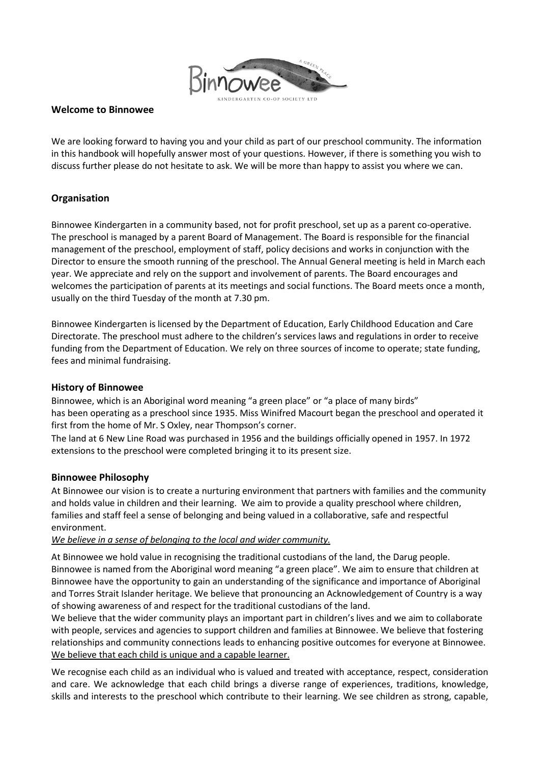

## **Welcome to Binnowee**

We are looking forward to having you and your child as part of our preschool community. The information in this handbook will hopefully answer most of your questions. However, if there is something you wish to discuss further please do not hesitate to ask. We will be more than happy to assist you where we can.

# **Organisation**

Binnowee Kindergarten in a community based, not for profit preschool, set up as a parent co-operative. The preschool is managed by a parent Board of Management. The Board is responsible for the financial management of the preschool, employment of staff, policy decisions and works in conjunction with the Director to ensure the smooth running of the preschool. The Annual General meeting is held in March each year. We appreciate and rely on the support and involvement of parents. The Board encourages and welcomes the participation of parents at its meetings and social functions. The Board meets once a month, usually on the third Tuesday of the month at 7.30 pm.

Binnowee Kindergarten is licensed by the Department of Education, Early Childhood Education and Care Directorate. The preschool must adhere to the children's services laws and regulations in order to receive funding from the Department of Education. We rely on three sources of income to operate; state funding, fees and minimal fundraising.

# **History of Binnowee**

Binnowee, which is an Aboriginal word meaning "a green place" or "a place of many birds" has been operating as a preschool since 1935. Miss Winifred Macourt began the preschool and operated it first from the home of Mr. S Oxley, near Thompson's corner.

The land at 6 New Line Road was purchased in 1956 and the buildings officially opened in 1957. In 1972 extensions to the preschool were completed bringing it to its present size.

## **Binnowee Philosophy**

At Binnowee our vision is to create a nurturing environment that partners with families and the community and holds value in children and their learning. We aim to provide a quality preschool where children, families and staff feel a sense of belonging and being valued in a collaborative, safe and respectful environment.

# *We believe in a sense of belonging to the local and wider community.*

At Binnowee we hold value in recognising the traditional custodians of the land, the Darug people. Binnowee is named from the Aboriginal word meaning "a green place". We aim to ensure that children at Binnowee have the opportunity to gain an understanding of the significance and importance of Aboriginal and Torres Strait Islander heritage. We believe that pronouncing an Acknowledgement of Country is a way of showing awareness of and respect for the traditional custodians of the land.

We believe that the wider community plays an important part in children's lives and we aim to collaborate with people, services and agencies to support children and families at Binnowee. We believe that fostering relationships and community connections leads to enhancing positive outcomes for everyone at Binnowee. We believe that each child is unique and a capable learner.

We recognise each child as an individual who is valued and treated with acceptance, respect, consideration and care. We acknowledge that each child brings a diverse range of experiences, traditions, knowledge, skills and interests to the preschool which contribute to their learning. We see children as strong, capable,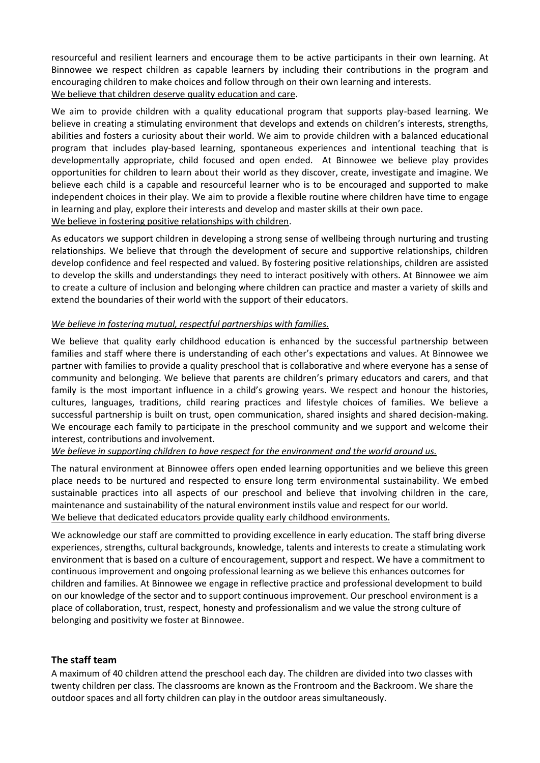resourceful and resilient learners and encourage them to be active participants in their own learning. At Binnowee we respect children as capable learners by including their contributions in the program and encouraging children to make choices and follow through on their own learning and interests. We believe that children deserve quality education and care.

We aim to provide children with a quality educational program that supports play-based learning. We believe in creating a stimulating environment that develops and extends on children's interests, strengths, abilities and fosters a curiosity about their world. We aim to provide children with a balanced educational program that includes play-based learning, spontaneous experiences and intentional teaching that is developmentally appropriate, child focused and open ended. At Binnowee we believe play provides opportunities for children to learn about their world as they discover, create, investigate and imagine. We believe each child is a capable and resourceful learner who is to be encouraged and supported to make independent choices in their play. We aim to provide a flexible routine where children have time to engage in learning and play, explore their interests and develop and master skills at their own pace. We believe in fostering positive relationships with children.

As educators we support children in developing a strong sense of wellbeing through nurturing and trusting relationships. We believe that through the development of secure and supportive relationships, children develop confidence and feel respected and valued. By fostering positive relationships, children are assisted to develop the skills and understandings they need to interact positively with others. At Binnowee we aim to create a culture of inclusion and belonging where children can practice and master a variety of skills and extend the boundaries of their world with the support of their educators.

## *We believe in fostering mutual, respectful partnerships with families.*

We believe that quality early childhood education is enhanced by the successful partnership between families and staff where there is understanding of each other's expectations and values. At Binnowee we partner with families to provide a quality preschool that is collaborative and where everyone has a sense of community and belonging. We believe that parents are children's primary educators and carers, and that family is the most important influence in a child's growing years. We respect and honour the histories, cultures, languages, traditions, child rearing practices and lifestyle choices of families. We believe a successful partnership is built on trust, open communication, shared insights and shared decision-making. We encourage each family to participate in the preschool community and we support and welcome their interest, contributions and involvement.

*We believe in supporting children to have respect for the environment and the world around us.*

The natural environment at Binnowee offers open ended learning opportunities and we believe this green place needs to be nurtured and respected to ensure long term environmental sustainability. We embed sustainable practices into all aspects of our preschool and believe that involving children in the care, maintenance and sustainability of the natural environment instils value and respect for our world. We believe that dedicated educators provide quality early childhood environments.

We acknowledge our staff are committed to providing excellence in early education. The staff bring diverse experiences, strengths, cultural backgrounds, knowledge, talents and interests to create a stimulating work environment that is based on a culture of encouragement, support and respect. We have a commitment to continuous improvement and ongoing professional learning as we believe this enhances outcomes for children and families. At Binnowee we engage in reflective practice and professional development to build on our knowledge of the sector and to support continuous improvement. Our preschool environment is a place of collaboration, trust, respect, honesty and professionalism and we value the strong culture of belonging and positivity we foster at Binnowee.

# **The staff team**

A maximum of 40 children attend the preschool each day. The children are divided into two classes with twenty children per class. The classrooms are known as the Frontroom and the Backroom. We share the outdoor spaces and all forty children can play in the outdoor areas simultaneously.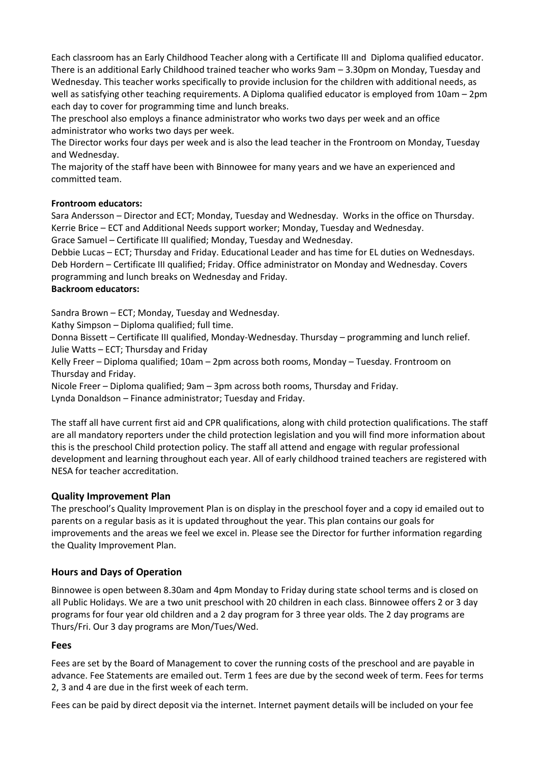Each classroom has an Early Childhood Teacher along with a Certificate III and Diploma qualified educator. There is an additional Early Childhood trained teacher who works 9am – 3.30pm on Monday, Tuesday and Wednesday. This teacher works specifically to provide inclusion for the children with additional needs, as well as satisfying other teaching requirements. A Diploma qualified educator is employed from 10am – 2pm each day to cover for programming time and lunch breaks.

The preschool also employs a finance administrator who works two days per week and an office administrator who works two days per week.

The Director works four days per week and is also the lead teacher in the Frontroom on Monday, Tuesday and Wednesday.

The majority of the staff have been with Binnowee for many years and we have an experienced and committed team.

## **Frontroom educators:**

Sara Andersson – Director and ECT; Monday, Tuesday and Wednesday. Works in the office on Thursday. Kerrie Brice – ECT and Additional Needs support worker; Monday, Tuesday and Wednesday.

Grace Samuel – Certificate III qualified; Monday, Tuesday and Wednesday.

Debbie Lucas – ECT; Thursday and Friday. Educational Leader and has time for EL duties on Wednesdays. Deb Hordern – Certificate III qualified; Friday. Office administrator on Monday and Wednesday. Covers programming and lunch breaks on Wednesday and Friday.

# **Backroom educators:**

Sandra Brown – ECT; Monday, Tuesday and Wednesday.

Kathy Simpson – Diploma qualified; full time.

Donna Bissett – Certificate III qualified, Monday-Wednesday. Thursday – programming and lunch relief. Julie Watts – ECT; Thursday and Friday

Kelly Freer – Diploma qualified; 10am – 2pm across both rooms, Monday – Tuesday. Frontroom on Thursday and Friday.

Nicole Freer – Diploma qualified; 9am – 3pm across both rooms, Thursday and Friday.

Lynda Donaldson – Finance administrator; Tuesday and Friday.

The staff all have current first aid and CPR qualifications, along with child protection qualifications. The staff are all mandatory reporters under the child protection legislation and you will find more information about this is the preschool Child protection policy. The staff all attend and engage with regular professional development and learning throughout each year. All of early childhood trained teachers are registered with NESA for teacher accreditation.

# **Quality Improvement Plan**

The preschool's Quality Improvement Plan is on display in the preschool foyer and a copy id emailed out to parents on a regular basis as it is updated throughout the year. This plan contains our goals for improvements and the areas we feel we excel in. Please see the Director for further information regarding the Quality Improvement Plan.

# **Hours and Days of Operation**

Binnowee is open between 8.30am and 4pm Monday to Friday during state school terms and is closed on all Public Holidays. We are a two unit preschool with 20 children in each class. Binnowee offers 2 or 3 day programs for four year old children and a 2 day program for 3 three year olds. The 2 day programs are Thurs/Fri. Our 3 day programs are Mon/Tues/Wed.

## **Fees**

Fees are set by the Board of Management to cover the running costs of the preschool and are payable in advance. Fee Statements are emailed out. Term 1 fees are due by the second week of term. Fees for terms 2, 3 and 4 are due in the first week of each term.

Fees can be paid by direct deposit via the internet. Internet payment details will be included on your fee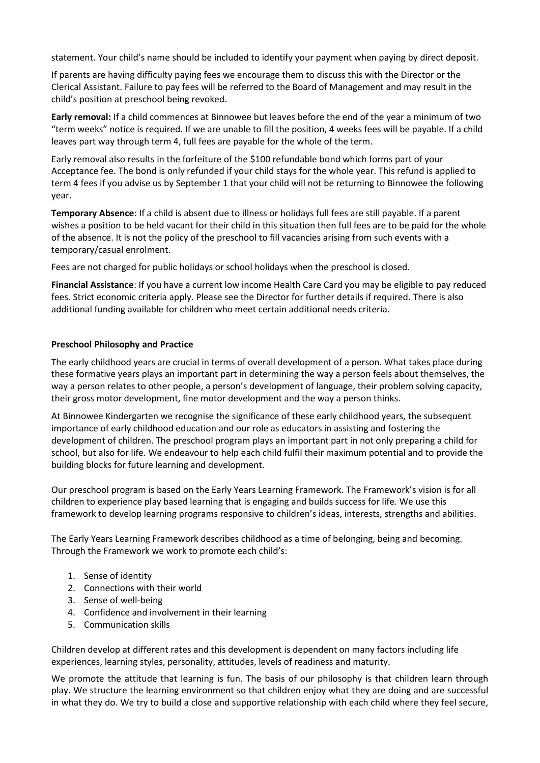statement. Your child's name should be included to identify your payment when paying by direct deposit.

If parents are having difficulty paying fees we encourage them to discuss this with the Director or the Clerical Assistant. Failure to pay fees will be referred to the Board of Management and may result in the child's position at preschool being revoked.

**Early removal:** If a child commences at Binnowee but leaves before the end of the year a minimum of two "term weeks" notice is required. If we are unable to fill the position, 4 weeks fees will be payable. If a child leaves part way through term 4, full fees are payable for the whole of the term.

Early removal also results in the forfeiture of the \$100 refundable bond which forms part of your Acceptance fee. The bond is only refunded if your child stays for the whole year. This refund is applied to term 4 fees if you advise us by September 1 that your child will not be returning to Binnowee the following year.

**Temporary Absence**: If a child is absent due to illness or holidays full fees are still payable. If a parent wishes a position to be held vacant for their child in this situation then full fees are to be paid for the whole of the absence. It is not the policy of the preschool to fill vacancies arising from such events with a temporary/casual enrolment.

Fees are not charged for public holidays or school holidays when the preschool is closed.

**Financial Assistance**: If you have a current low income Health Care Card you may be eligible to pay reduced fees. Strict economic criteria apply. Please see the Director for further details if required. There is also additional funding available for children who meet certain additional needs criteria.

## **Preschool Philosophy and Practice**

The early childhood years are crucial in terms of overall development of a person. What takes place during these formative years plays an important part in determining the way a person feels about themselves, the way a person relates to other people, a person's development of language, their problem solving capacity, their gross motor development, fine motor development and the way a person thinks.

At Binnowee Kindergarten we recognise the significance of these early childhood years, the subsequent importance of early childhood education and our role as educators in assisting and fostering the development of children. The preschool program plays an important part in not only preparing a child for school, but also for life. We endeavour to help each child fulfil their maximum potential and to provide the building blocks for future learning and development.

Our preschool program is based on the Early Years Learning Framework. The Framework's vision is for all children to experience play based learning that is engaging and builds success for life. We use this framework to develop learning programs responsive to children's ideas, interests, strengths and abilities.

The Early Years Learning Framework describes childhood as a time of belonging, being and becoming. Through the Framework we work to promote each child's:

- 1. Sense of identity
- 2. Connections with their world
- 3. Sense of well-being
- 4. Confidence and involvement in their learning
- 5. Communication skills

Children develop at different rates and this development is dependent on many factors including life experiences, learning styles, personality, attitudes, levels of readiness and maturity.

We promote the attitude that learning is fun. The basis of our philosophy is that children learn through play. We structure the learning environment so that children enjoy what they are doing and are successful in what they do. We try to build a close and supportive relationship with each child where they feel secure,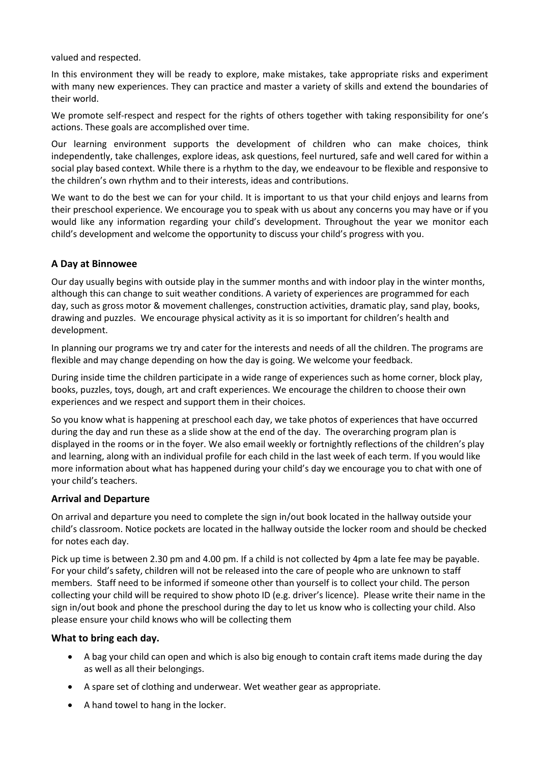valued and respected.

In this environment they will be ready to explore, make mistakes, take appropriate risks and experiment with many new experiences. They can practice and master a variety of skills and extend the boundaries of their world.

We promote self-respect and respect for the rights of others together with taking responsibility for one's actions. These goals are accomplished over time.

Our learning environment supports the development of children who can make choices, think independently, take challenges, explore ideas, ask questions, feel nurtured, safe and well cared for within a social play based context. While there is a rhythm to the day, we endeavour to be flexible and responsive to the children's own rhythm and to their interests, ideas and contributions.

We want to do the best we can for your child. It is important to us that your child enjoys and learns from their preschool experience. We encourage you to speak with us about any concerns you may have or if you would like any information regarding your child's development. Throughout the year we monitor each child's development and welcome the opportunity to discuss your child's progress with you.

# **A Day at Binnowee**

Our day usually begins with outside play in the summer months and with indoor play in the winter months, although this can change to suit weather conditions. A variety of experiences are programmed for each day, such as gross motor & movement challenges, construction activities, dramatic play, sand play, books, drawing and puzzles. We encourage physical activity as it is so important for children's health and development.

In planning our programs we try and cater for the interests and needs of all the children. The programs are flexible and may change depending on how the day is going. We welcome your feedback.

During inside time the children participate in a wide range of experiences such as home corner, block play, books, puzzles, toys, dough, art and craft experiences. We encourage the children to choose their own experiences and we respect and support them in their choices.

So you know what is happening at preschool each day, we take photos of experiences that have occurred during the day and run these as a slide show at the end of the day. The overarching program plan is displayed in the rooms or in the foyer. We also email weekly or fortnightly reflections of the children's play and learning, along with an individual profile for each child in the last week of each term. If you would like more information about what has happened during your child's day we encourage you to chat with one of your child's teachers.

# **Arrival and Departure**

On arrival and departure you need to complete the sign in/out book located in the hallway outside your child's classroom. Notice pockets are located in the hallway outside the locker room and should be checked for notes each day.

Pick up time is between 2.30 pm and 4.00 pm. If a child is not collected by 4pm a late fee may be payable. For your child's safety, children will not be released into the care of people who are unknown to staff members. Staff need to be informed if someone other than yourself is to collect your child. The person collecting your child will be required to show photo ID (e.g. driver's licence). Please write their name in the sign in/out book and phone the preschool during the day to let us know who is collecting your child. Also please ensure your child knows who will be collecting them

## **What to bring each day.**

- A bag your child can open and which is also big enough to contain craft items made during the day as well as all their belongings.
- A spare set of clothing and underwear. Wet weather gear as appropriate.
- A hand towel to hang in the locker.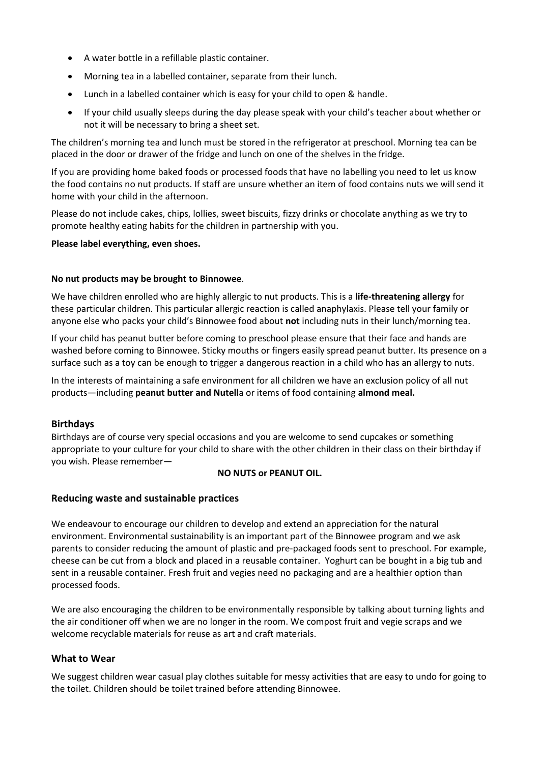- A water bottle in a refillable plastic container.
- Morning tea in a labelled container, separate from their lunch.
- Lunch in a labelled container which is easy for your child to open & handle.
- If your child usually sleeps during the day please speak with your child's teacher about whether or not it will be necessary to bring a sheet set.

The children's morning tea and lunch must be stored in the refrigerator at preschool. Morning tea can be placed in the door or drawer of the fridge and lunch on one of the shelves in the fridge.

If you are providing home baked foods or processed foods that have no labelling you need to let us know the food contains no nut products. If staff are unsure whether an item of food contains nuts we will send it home with your child in the afternoon.

Please do not include cakes, chips, lollies, sweet biscuits, fizzy drinks or chocolate anything as we try to promote healthy eating habits for the children in partnership with you.

#### **Please label everything, even shoes.**

#### **No nut products may be brought to Binnowee**.

We have children enrolled who are highly allergic to nut products. This is a **life-threatening allergy** for these particular children. This particular allergic reaction is called anaphylaxis. Please tell your family or anyone else who packs your child's Binnowee food about **not** including nuts in their lunch/morning tea.

If your child has peanut butter before coming to preschool please ensure that their face and hands are washed before coming to Binnowee. Sticky mouths or fingers easily spread peanut butter. Its presence on a surface such as a toy can be enough to trigger a dangerous reaction in a child who has an allergy to nuts.

In the interests of maintaining a safe environment for all children we have an exclusion policy of all nut products—including **peanut butter and Nutell**a or items of food containing **almond meal.** 

## **Birthdays**

Birthdays are of course very special occasions and you are welcome to send cupcakes or something appropriate to your culture for your child to share with the other children in their class on their birthday if you wish. Please remember—

#### **NO NUTS or PEANUT OIL.**

## **Reducing waste and sustainable practices**

We endeavour to encourage our children to develop and extend an appreciation for the natural environment. Environmental sustainability is an important part of the Binnowee program and we ask parents to consider reducing the amount of plastic and pre-packaged foods sent to preschool. For example, cheese can be cut from a block and placed in a reusable container. Yoghurt can be bought in a big tub and sent in a reusable container. Fresh fruit and vegies need no packaging and are a healthier option than processed foods.

We are also encouraging the children to be environmentally responsible by talking about turning lights and the air conditioner off when we are no longer in the room. We compost fruit and vegie scraps and we welcome recyclable materials for reuse as art and craft materials.

## **What to Wear**

We suggest children wear casual play clothes suitable for messy activities that are easy to undo for going to the toilet. Children should be toilet trained before attending Binnowee.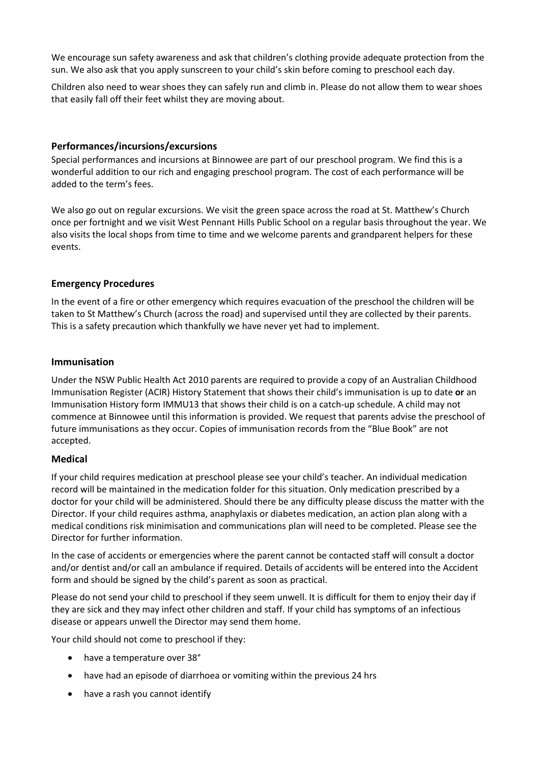We encourage sun safety awareness and ask that children's clothing provide adequate protection from the sun. We also ask that you apply sunscreen to your child's skin before coming to preschool each day.

Children also need to wear shoes they can safely run and climb in. Please do not allow them to wear shoes that easily fall off their feet whilst they are moving about.

# **Performances/incursions/excursions**

Special performances and incursions at Binnowee are part of our preschool program. We find this is a wonderful addition to our rich and engaging preschool program. The cost of each performance will be added to the term's fees.

We also go out on regular excursions. We visit the green space across the road at St. Matthew's Church once per fortnight and we visit West Pennant Hills Public School on a regular basis throughout the year. We also visits the local shops from time to time and we welcome parents and grandparent helpers for these events.

# **Emergency Procedures**

In the event of a fire or other emergency which requires evacuation of the preschool the children will be taken to St Matthew's Church (across the road) and supervised until they are collected by their parents. This is a safety precaution which thankfully we have never yet had to implement.

## **Immunisation**

Under the NSW Public Health Act 2010 parents are required to provide a copy of an Australian Childhood Immunisation Register (ACIR) History Statement that shows their child's immunisation is up to date **or** an Immunisation History form IMMU13 that shows their child is on a catch-up schedule. A child may not commence at Binnowee until this information is provided. We request that parents advise the preschool of future immunisations as they occur. Copies of immunisation records from the "Blue Book" are not accepted.

## **Medical**

If your child requires medication at preschool please see your child's teacher. An individual medication record will be maintained in the medication folder for this situation. Only medication prescribed by a doctor for your child will be administered. Should there be any difficulty please discuss the matter with the Director. If your child requires asthma, anaphylaxis or diabetes medication, an action plan along with a medical conditions risk minimisation and communications plan will need to be completed. Please see the Director for further information.

In the case of accidents or emergencies where the parent cannot be contacted staff will consult a doctor and/or dentist and/or call an ambulance if required. Details of accidents will be entered into the Accident form and should be signed by the child's parent as soon as practical.

Please do not send your child to preschool if they seem unwell. It is difficult for them to enjoy their day if they are sick and they may infect other children and staff. If your child has symptoms of an infectious disease or appears unwell the Director may send them home.

Your child should not come to preschool if they:

- have a temperature over 38°
- have had an episode of diarrhoea or vomiting within the previous 24 hrs
- have a rash you cannot identify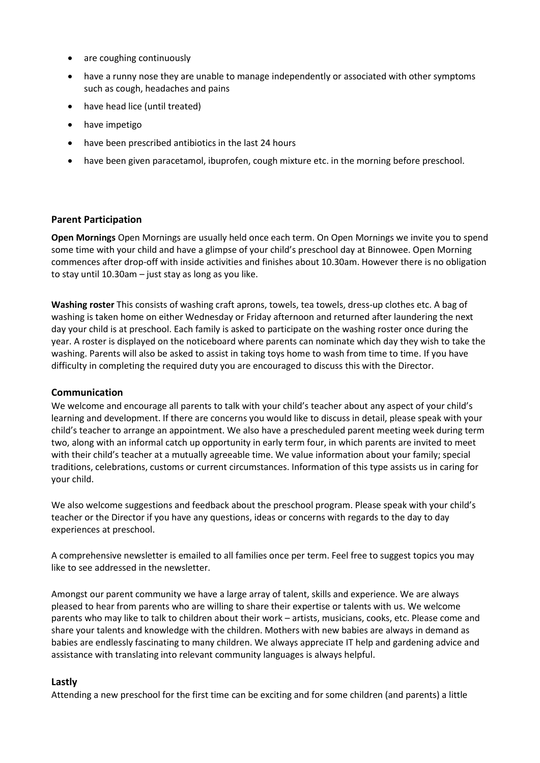- are coughing continuously
- have a runny nose they are unable to manage independently or associated with other symptoms such as cough, headaches and pains
- have head lice (until treated)
- have impetigo
- have been prescribed antibiotics in the last 24 hours
- have been given paracetamol, ibuprofen, cough mixture etc. in the morning before preschool.

## **Parent Participation**

**Open Mornings** Open Mornings are usually held once each term. On Open Mornings we invite you to spend some time with your child and have a glimpse of your child's preschool day at Binnowee. Open Morning commences after drop-off with inside activities and finishes about 10.30am. However there is no obligation to stay until 10.30am – just stay as long as you like.

**Washing roster** This consists of washing craft aprons, towels, tea towels, dress-up clothes etc. A bag of washing is taken home on either Wednesday or Friday afternoon and returned after laundering the next day your child is at preschool. Each family is asked to participate on the washing roster once during the year. A roster is displayed on the noticeboard where parents can nominate which day they wish to take the washing. Parents will also be asked to assist in taking toys home to wash from time to time. If you have difficulty in completing the required duty you are encouraged to discuss this with the Director.

## **Communication**

We welcome and encourage all parents to talk with your child's teacher about any aspect of your child's learning and development. If there are concerns you would like to discuss in detail, please speak with your child's teacher to arrange an appointment. We also have a prescheduled parent meeting week during term two, along with an informal catch up opportunity in early term four, in which parents are invited to meet with their child's teacher at a mutually agreeable time. We value information about your family; special traditions, celebrations, customs or current circumstances. Information of this type assists us in caring for your child.

We also welcome suggestions and feedback about the preschool program. Please speak with your child's teacher or the Director if you have any questions, ideas or concerns with regards to the day to day experiences at preschool.

A comprehensive newsletter is emailed to all families once per term. Feel free to suggest topics you may like to see addressed in the newsletter.

Amongst our parent community we have a large array of talent, skills and experience. We are always pleased to hear from parents who are willing to share their expertise or talents with us. We welcome parents who may like to talk to children about their work – artists, musicians, cooks, etc. Please come and share your talents and knowledge with the children. Mothers with new babies are always in demand as babies are endlessly fascinating to many children. We always appreciate IT help and gardening advice and assistance with translating into relevant community languages is always helpful.

# **Lastly**

Attending a new preschool for the first time can be exciting and for some children (and parents) a little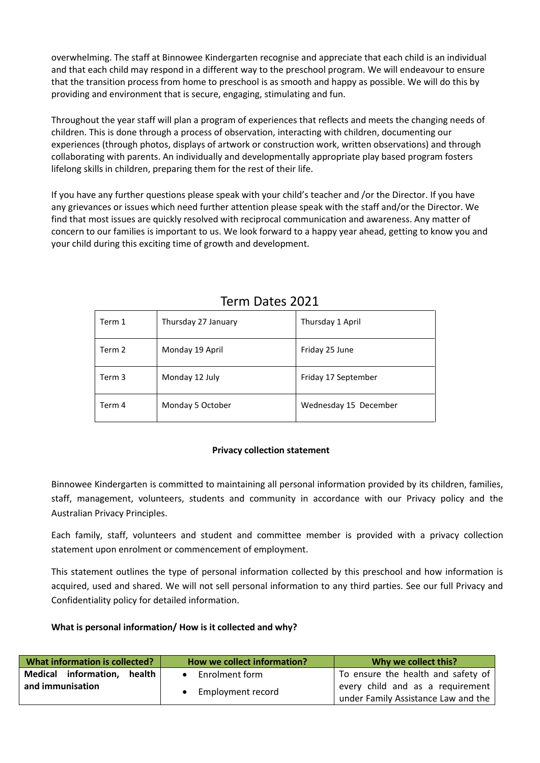overwhelming. The staff at Binnowee Kindergarten recognise and appreciate that each child is an individual and that each child may respond in a different way to the preschool program. We will endeavour to ensure that the transition process from home to preschool is as smooth and happy as possible. We will do this by providing and environment that is secure, engaging, stimulating and fun.

Throughout the year staff will plan a program of experiences that reflects and meets the changing needs of children. This is done through a process of observation, interacting with children, documenting our experiences (through photos, displays of artwork or construction work, written observations) and through collaborating with parents. An individually and developmentally appropriate play based program fosters lifelong skills in children, preparing them for the rest of their life.

If you have any further questions please speak with your child's teacher and /or the Director. If you have any grievances or issues which need further attention please speak with the staff and/or the Director. We find that most issues are quickly resolved with reciprocal communication and awareness. Any matter of concern to our families is important to us. We look forward to a happy year ahead, getting to know you and your child during this exciting time of growth and development.

| Term 1 | Thursday 27 January | Thursday 1 April      |
|--------|---------------------|-----------------------|
| Term 2 | Monday 19 April     | Friday 25 June        |
| Term 3 | Monday 12 July      | Friday 17 September   |
| Term 4 | Monday 5 October    | Wednesday 15 December |

# Term Dates 2021

# **Privacy collection statement**

Binnowee Kindergarten is committed to maintaining all personal information provided by its children, families, staff, management, volunteers, students and community in accordance with our Privacy policy and the Australian Privacy Principles.

Each family, staff, volunteers and student and committee member is provided with a privacy collection statement upon enrolment or commencement of employment.

This statement outlines the type of personal information collected by this preschool and how information is acquired, used and shared. We will not sell personal information to any third parties. See our full Privacy and Confidentiality policy for detailed information.

# **What is personal information/ How is it collected and why?**

| What information is collected? | How we collect information? | Why we collect this?                                                    |
|--------------------------------|-----------------------------|-------------------------------------------------------------------------|
| Medical information, health    | $\bullet$ Enrolment form    | To ensure the health and safety of                                      |
| and immunisation               | • Employment record         | every child and as a requirement<br>under Family Assistance Law and the |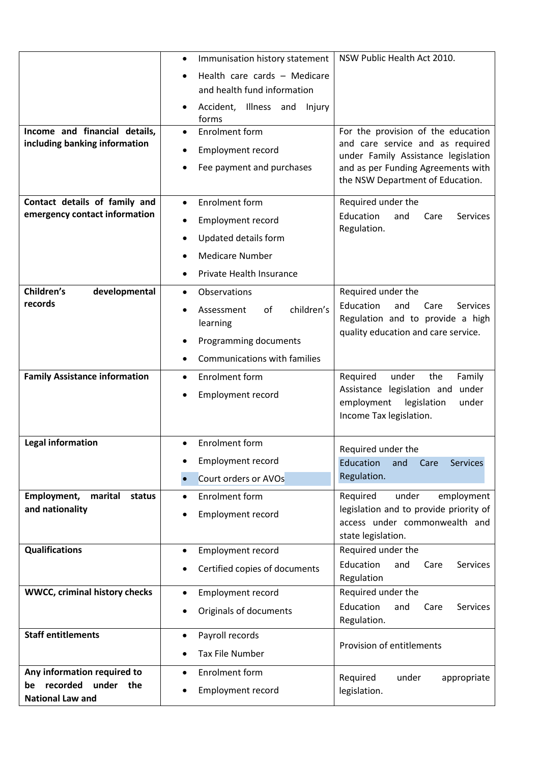|                                      | Immunisation history statement<br>٠        | NSW Public Health Act 2010.                                               |
|--------------------------------------|--------------------------------------------|---------------------------------------------------------------------------|
|                                      | Health care cards - Medicare               |                                                                           |
|                                      | and health fund information                |                                                                           |
|                                      | Accident, Illness and<br>Injury<br>forms   |                                                                           |
| Income and financial details,        | <b>Enrolment form</b>                      | For the provision of the education                                        |
| including banking information        | <b>Employment record</b>                   | and care service and as required<br>under Family Assistance legislation   |
|                                      | Fee payment and purchases                  | and as per Funding Agreements with<br>the NSW Department of Education.    |
| Contact details of family and        | <b>Enrolment form</b>                      | Required under the                                                        |
| emergency contact information        | <b>Employment record</b>                   | Education<br><b>Services</b><br>and<br>Care                               |
|                                      | Updated details form                       | Regulation.                                                               |
|                                      | <b>Medicare Number</b>                     |                                                                           |
|                                      | Private Health Insurance                   |                                                                           |
| Children's                           |                                            | Required under the                                                        |
| developmental<br>records             | Observations<br>$\bullet$                  | Education<br>and<br>Care<br><b>Services</b>                               |
|                                      | children's<br>Assessment<br>οf<br>learning | Regulation and to provide a high                                          |
|                                      | Programming documents                      | quality education and care service.                                       |
|                                      |                                            |                                                                           |
|                                      | Communications with families               |                                                                           |
| <b>Family Assistance information</b> | <b>Enrolment form</b>                      | Required<br>under<br>the<br>Family<br>under<br>Assistance legislation and |
|                                      | <b>Employment record</b>                   | employment<br>legislation<br>under                                        |
|                                      |                                            | Income Tax legislation.                                                   |
| <b>Legal information</b>             | <b>Enrolment form</b>                      |                                                                           |
|                                      |                                            | Required under the                                                        |
|                                      | Employment record                          | Education<br>Care<br><b>Services</b><br>and                               |
|                                      | Court orders or AVOs                       | Regulation.                                                               |
| Employment,<br>marital<br>status     | Enrolment form<br>$\bullet$                | Required<br>under<br>employment                                           |
| and nationality                      | Employment record                          | legislation and to provide priority of<br>access under commonwealth and   |
|                                      |                                            | state legislation.                                                        |
| <b>Qualifications</b>                | <b>Employment record</b>                   | Required under the                                                        |
|                                      | Certified copies of documents              | Education<br>and<br>Services<br>Care                                      |
|                                      |                                            | Regulation                                                                |
| <b>WWCC, criminal history checks</b> | Employment record<br>$\bullet$             | Required under the<br>Education<br>and<br>Care<br><b>Services</b>         |
|                                      | Originals of documents                     | Regulation.                                                               |
| <b>Staff entitlements</b>            | Payroll records<br>$\bullet$               |                                                                           |
|                                      | <b>Tax File Number</b>                     | Provision of entitlements                                                 |
| Any information required to          | <b>Enrolment form</b><br>$\bullet$         |                                                                           |
| recorded<br>under the<br>be          | <b>Employment record</b>                   | Required<br>under<br>appropriate<br>legislation.                          |
| <b>National Law and</b>              |                                            |                                                                           |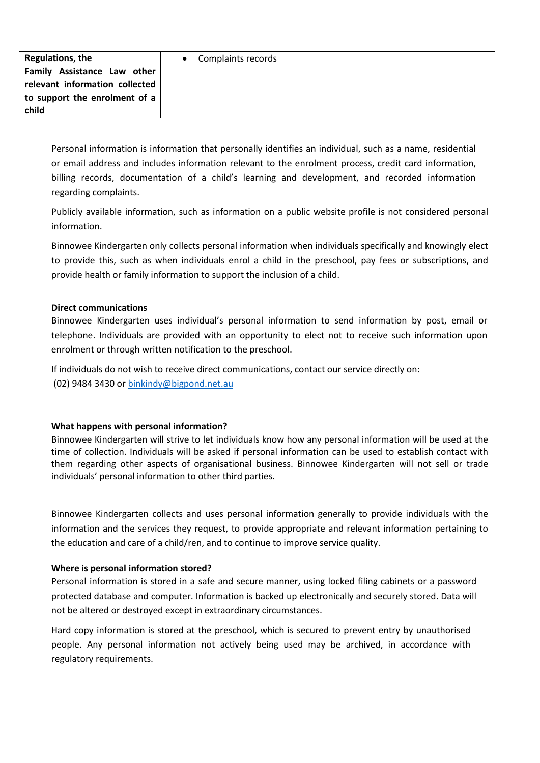| Regulations, the               | • Complaints records |  |
|--------------------------------|----------------------|--|
| Family Assistance Law other    |                      |  |
| relevant information collected |                      |  |
| to support the enrolment of a  |                      |  |
| child                          |                      |  |

Personal information is information that personally identifies an individual, such as a name, residential or email address and includes information relevant to the enrolment process, credit card information, billing records, documentation of a child's learning and development, and recorded information regarding complaints.

Publicly available information, such as information on a public website profile is not considered personal information.

Binnowee Kindergarten only collects personal information when individuals specifically and knowingly elect to provide this, such as when individuals enrol a child in the preschool, pay fees or subscriptions, and provide health or family information to support the inclusion of a child.

## **Direct communications**

Binnowee Kindergarten uses individual's personal information to send information by post, email or telephone. Individuals are provided with an opportunity to elect not to receive such information upon enrolment or through written notification to the preschool.

If individuals do not wish to receive direct communications, contact our service directly on: (02) 9484 3430 or [binkindy@bigpond.net.au](mailto:binkindy@bigpond.net.au)

# **What happens with personal information?**

Binnowee Kindergarten will strive to let individuals know how any personal information will be used at the time of collection. Individuals will be asked if personal information can be used to establish contact with them regarding other aspects of organisational business. Binnowee Kindergarten will not sell or trade individuals' personal information to other third parties.

Binnowee Kindergarten collects and uses personal information generally to provide individuals with the information and the services they request, to provide appropriate and relevant information pertaining to the education and care of a child/ren, and to continue to improve service quality.

# **Where is personal information stored?**

Personal information is stored in a safe and secure manner, using locked filing cabinets or a password protected database and computer. Information is backed up electronically and securely stored. Data will not be altered or destroyed except in extraordinary circumstances.

Hard copy information is stored at the preschool, which is secured to prevent entry by unauthorised people. Any personal information not actively being used may be archived, in accordance with regulatory requirements.